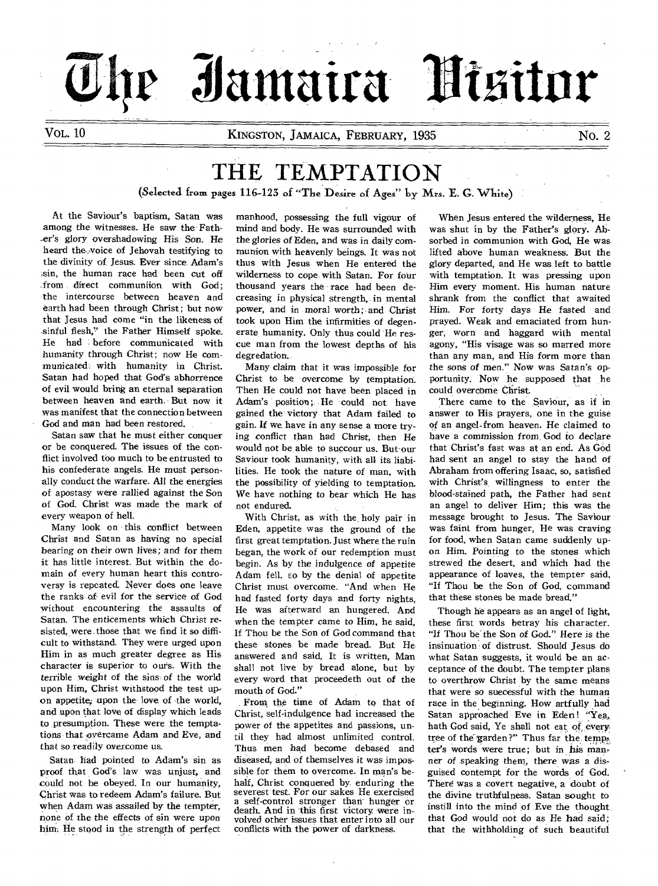# Jamaira Hisitor  $U$ lip

### VOL. 10 KINGSTON, JAMAICA, FEBRUARY, 1935 No. 2

## **THE TEMPTATION**

**(Selected from pages** 116-123 **of "The Desire of Ages" by Mrs. E. G. White)** 

At the Saviour's baptism, Satan was among the witnesses. He saw the Fath- -er's glory overshadowing His Son. He heard the,voice of Jehovah testifying to the divinity of Jesus. Ever since. Adam's sin, the human race had been cut off ,from direct communiion with God; the intercourse between heaven and earth had been through Christ; but now that Jesus had come "in the likeness of sinful flesh," the Father Himself spoke. He had before communicated with humanity through Christ; now He communicated: with humanity in Christ. Satan had hoped that God's abhorrence of evil would bring an eternal separation between heaven and earth. But now it was manifest that the connection between God and man had been restored.

Satan saw that he must either conquer or be conquered. The issues of the conflict involved too much to be entrusted to his confederate angels. He must personally conduct the warfare. All the energies of apostasy were rallied against the Son of God. Christ was made the mark of every weapon of hell.

Many look on this conflict between Christ and Satan as having no special bearing on their own lives; and for them it has little interest. But within the domain of every human heart this controversy is repeated. Never does one leave the ranks of evil for the service of God without encountering the assaults of Satan. The enticements which Christ resisted, were ,those that we find it so difficult to withstand. They were urged upon Him in as much greater degree as His character is superior to ours. With the terrible weight of the sins of the world upon Him, Christ withstood the test upon appetite; upon the love of the world, and upon that love of display which leads to presumption. These were the temptations that overcame Adam and Eve, and that so readily overcome us.

Satan had pointed to Adam's sin as proof that God's law was unjust, and could not be obeyed. In our humanity, Christ was to redeem Adam's failure. But when Adam was assailed by the tempter, none of the the effects of sin were upon him. He stood in the strength of perfect

manhood, possessing the full vigour of mind and body. He was surrounded with the glories of Eden, and was in daily communion with heavenly beings. It was not thus with Jesus when He entered the wilderness to cope. with Satan. For four thousand years the race had been decreasing in physical strength, in mental power, and in moral worth; and Christ took upon Him the infirmities of degenerate, humanity. Only thus could He rescue man from the lowest depths of his degredation.

Many claim that it was impossible for Christ to be overcome by temptation. Then He could not have been placed in Adam's position; He could not have gained the victory that Adam failed to gain. If we, have in any sense a more trying conflict than had Christ, then He would not be able to succour us. But our Saviour took humanity, with all its liabilities. He took the nature of man, with the possibility of yielding to temptation. We have nothing to bear which He has not endured.

With Christ, as with the holy pair in Eden, appetite was the ground of the first great temptation. Just where the ruin began, the work of our redemption must begin. As by the indulgence *of* appetite Adam fell. so by the denial of appetite Christ must overcome. "And when He had fasted forty days and forty nights, He was afterward an hungered. And when the tempter came to Him, he said, If Thou be the Son of God command that these stones be made bread. But He answered and said, It is written, Man shall not live by bread alone, but by every word that proceedeth out of the mouth of God."

From the time of Adam to that of Christ, self-indulgence had increased the power of the appetites and passions, until they had almost unlimited control. Thus men had become debased and diseased, and of themselves it was impossible for them to overcome. In man's behalf, Christ conquered by enduring the severest test. For our sakes He exercised a self-control stronger than' hunger or death. And in 'this first victory were involved other issues that enter into all our conflicts with the power of darkness.

When Jesus entered the wilderness, He was shut in by the Father's glory. Absorbed in communion with God, He was lifted above human weakness. But the glory departed, and He was left to battle with temptation. It was pressing upon Him every moment. His human nature shrank from the conflict that awaited Him. For forty days He fasted and prayed. Weak and emaciated from hunger, worn and haggard with mental agony, "His visage was so marred more than any man, and His form more than the sons *of* men." Now was Satan's opportunity. Now he supposed that he could overcome Christ.

There came to the 5aviour, as if in answer to His prayers, one in the guise of an angel,from heaven. He claimed to have a commission from. God to declare that Christ's fast was at an end. As God had sent an angel to stay the hand of Abraham from offering Isaac, so, satisfied with Christ's willingness to enter the blood-stained path, the Father had sent an angel to deliver Him; this was the message brought to Jesus. The Saviour was faint from hunger, He was craving for food, when Satan came suddenly upon Him. Pointing to the stones which strewed the desert, and which had the appearance of loaves, the tempter said, "If Thou be the Son of God, command that these stones be made bread."

Though he appears as an angel of light, these first words betray his character. "If Thou be the Son of God." Here is the insinuation of distrust. Should Jesus do what Satan suggests, it would be an acceptance of the doubt. The tempter plans to overthrow Christ by the same means that were so suecessful with the human race in the beginning. How artfully had Satan approached Eve in Eden! "Yea, hath God said, Ye shall not eat of, every tree of the garden ?" Thus far the temp, ter's words were true; but in his man, ner of speaking them, there was a *disguised* contempt for the words of God. There was a covert negative, a doubt of the divine truthfulness. Satan sought to instill into the mind of Eve the thought. that God would not do as He had said; that the withholding of such beautiful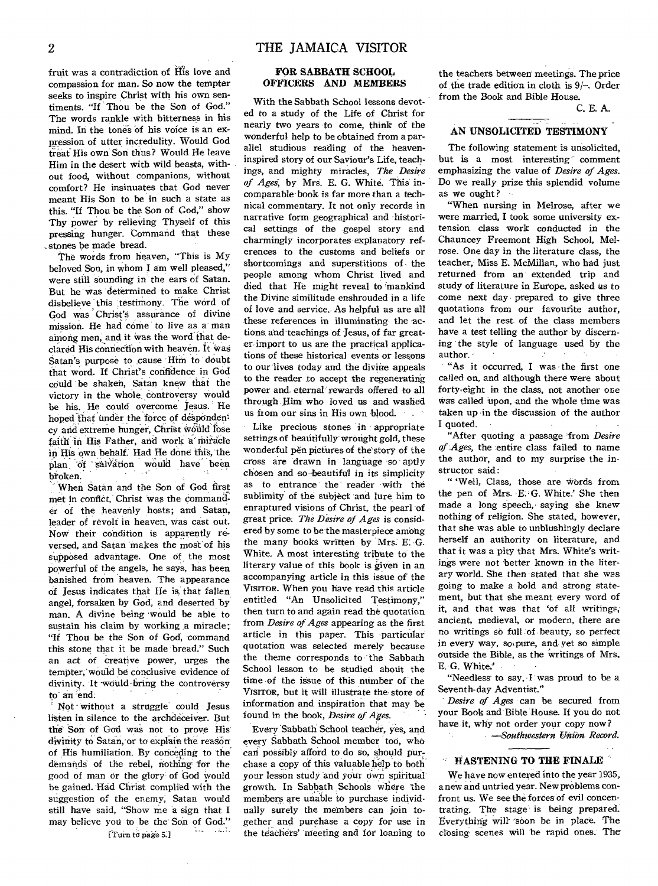fruit was a contradiction of His love and compassion for man. So now the tempter seeks to inspire Christ with his own sentiments. "If Thou be the Son of God." The words rankle with bitterness in his mind. In the tones of his voice is an expression of utter incredulity. Would God treat His own Son thus? Would He leave Him in the desert with wild beasts, without food, without companions, without comfort? He insinuates that God never meant His Son to be in such a state as this. "If Thou be the Son of God," show Thy power by relieving Thyself of this pressing hunger. Command that these stones be made bread.

The words from heaven, "This is My beloved Son, in whom I am well pleased," were still sounding in the ears of Satan. But he 'Was 'determined to make Christ disbelieve this testimony. The word of God was Christ's assurance of divine mission. He had come to live as a man among men, and it was the word that declared His connection with heaven. It was Satan's purpose to cause Him to doubt that word. If Christ's confidence in GOd could be shaken, Satan knew that the victory in the whole, controversy would be his. He could overcome Jesus. He hoped that under the force of despondency and extreme hunger, Christ would lose faith in His Father, and work a miracle in His own behalf. Had He done this, the plan of salvation would have been broken.

When Satan and the Son of God first met in confict, Christ was the commander of the heavenly hosts; and Satan, leader of revolt in heaven, was cast out. NoW their condition is apparently reversed, and Satan makes the most of his supposed advantage. One of the most powerful of the angels, he says, has been banished from heaven. The appearance Of Jesus indicates that He is that fallen, angel, forsaken by God, and deserted by man. A divine being would be able to sustain his claim by working a miracle; "If Thou be the Son of God, command this stone that it be made bread." Such an act of Creative power, urges the tempter, would be conclusive evidence of divinity. It would-bring the controversy to an end.

Not without a struggle could Jesus listen in silence to the archdeceiver. But the Son-of God was not to prove His divinity to Satan, or to explain the reason of His humiliation. By conceding to the demands of the rebel, nothing- for the good of man or the glory of God would be gained. Had Christ complied with the suggestion of the enemy; Satan would still have said, "Show me a sign that I may believe you to be the Son of God."

FTurn to page 5.1

#### **FOR SABBATH SCHOOL OFFICERS AND MEMBERS**

With the Sabbath School lessons devoted to a study of the Life of Christ for nearly two years to come, think of the wonderful help to be obtained from a parallel studious reading of the heaveninspired story of our Saviour's Life, teachings, and mighty miracles, *The Desire of AgeS;* by Mrs. E. G. White. This incomparable-book is far more than a technical commentary. It not only records in narrative form geographical and -historical settings of the gospel story and charmingly incorporates explanatory references to the customs and beliefs or shortcomings and superstitions of the people among whom Christ lived and died that He might reveal to mankind the Divine similitude enshrouded in a life of love and service.- As helpful as are all these references in illuminating the actions and- teachings of Jesus, of far greater import to us are the practical applications of these historical events or lessons to our lives today and the divine appeals to the reader to accept the regenerating power and, eternal' rewards offered to all through \_Him who loved us and washed us from our sins in His own blood.

Like precious stones in appropriate settings of beautifully wrought gold, these wonderful pen pictures of the story of the cross are drawn in language so aptly chosen and so-beautiful in its simplicity as to entrance the reader with the sublimity of the subject and lure him to enraptured visions of Christ, the pearl of great price. *The Desire of Ages* is considered by some to be the masterpiece among the many books written by Mrs. E. G. White. A most interesting tribute to the literary value of this book is given in an accompanying article in this issue of the VISITOR. When you have read this article entitled "An Unsolicited Testimony," then turn to and again read the quotation from *Desire of Ages* appearing as the first article in this paper. This particular quotation was selected merely because the theme corresponds to the Sabbath School lesson to be studied about the time of the issue of this number of the VISITOR, but it will illustrate the- store of information and inspiration that may be  $\overline{\phantom{a}}$ found in the book, *Desire of Ages.* 

Every 'Sabbath School teacher, yes, and every Sabbath School member too, who can possibly afford to do so, should purchase a copy of this valuable help to both your lesson study and your own spiritual growth. In Sabbath Schools where the members are unable to purchase individually surely the members can join together and purchase a copy for use in the teachers' meeting and for loaning to

the teachers between meetings. The price of the trade edition in cloth is  $9/-$ . Order from the Book and Bible House.

C. E. A.

#### **AN UNSOLICITED TESTIMONY**

The following statement is unsolicited, but is a most interesting comment emphasizing the value of *Desire of Ages.*  Do we really prize this splendid volume as we ought?

"When nursing in Melrose, after we were married, I took some university extension class work conducted in the Chauncey Freemont High School, Melrose. One day in the literature class, the teacher, Miss E. McMillan, who had just returned from an extended trip and study of literature in Europe. asked us to come next day prepared to give three quotations from our favourite author, and let the rest of the class members have a test telling the author by discerning the style of language used by the author.

"As it occurred, I was • the first one called on, and although there were about forty-eight in the class, not another one was called 'upon, and the whole time was taken up in the discussion of the author I quoted.

"After quoting a passage from *Desire of:Ages,* the entire class failed to name the author, and to my surprise the instructor said:

" 'Well, Class, those are Words from the pen of Mrs. E. G. White.' She then made a long speech, saying she knew nothing of religion. She stated, however, that she was able to unblushingly declare herself an authority on literature, and that it was a pity that Mrs. White's writings were not better known in the literary world. She then stated that she was going to make a bold and strong statement, but that she meant every word of it, and that was that 'of all writings, ancient, medieval, or modern, there are no writings so full of beauty, so perfect in every way, so pure, and yet so simple outside the Bible, as the writings of Mrs. E. G. White?

"Needless' to say, I was proud to be a Seventh-day Adventist."

*Desire of Ages* can be secured from your Book and Bible House. If you do not have it, why not order your copy now?

*—Southwestern Union. Record.* 

#### **HASTENING TO THE FINALE**

We have now entered into the year 1935, a new and untried year. New problems confront us. We see the forces of evil concentrating. The stage is being prepared. Everything will soon be in place. The closing scenes will be rapid ones. The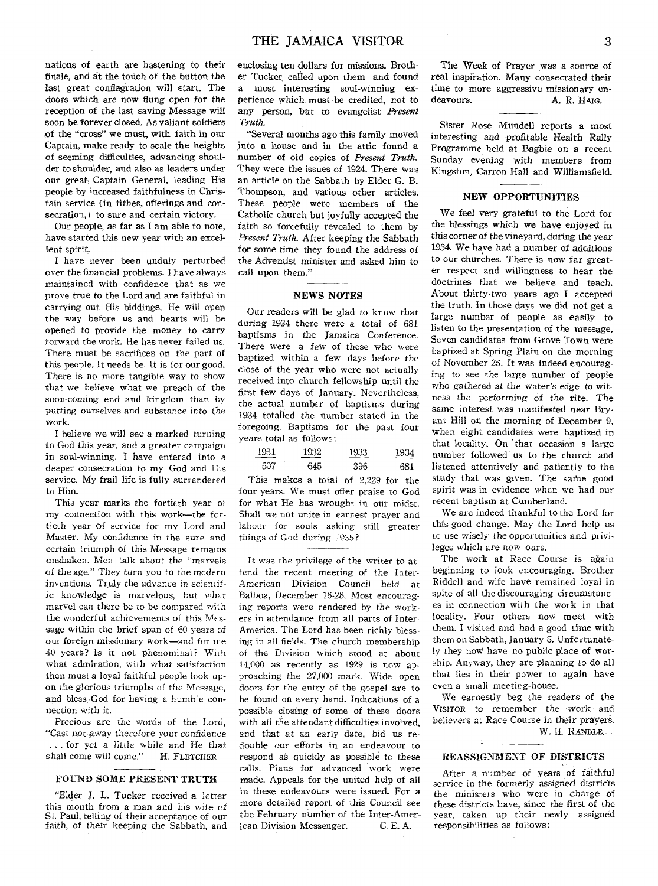nations of earth are hastening to their finale, and at the touch of the button the last great conflagration will start. The doors which are now flung open for the reception of the last saving Message will soon be forever closed. As valiant soldiers of the "cross" we must, with faith in our Captain, make ready to scale the heights of seeming difficulties, advancing shoulder to shoulder, and also as leaders under our great Captain General, leading His people by increased faithfulness in Christain service (in tithes, offerings and consecration,) to sure and certain victory.

Our people, as far as I am able to note, have started this new year with an excellent spirit.

I have never been unduly perturbed over the financial problems. I have always maintained with confidence that as we prove true to the Lord and are faithful in carrying out His biddings, He will open the way before us and hearts will be opened to provide the money to carry forward the work. He has never failed us. There must be sacrifices on the part of this people. It needs be. It is for our good. There is no more tangible way to show that we believe what we preach of the soon-coming end and kingdom than by putting ourselves and substance into the work.

I believe we will see a marked turning to God this year, and a greater campaign in soul-winning. I have entered into a deeper consecration to my God and H:s service. My frail life is fully surrendered to Him.

This year marks the fortieth year of my connection with this work—the fortieth year of service for my Lord and Master. My confidence in the sure and certain triumph of this Message remains unshaken. Men talk about the "marvels of the age." They turn you to the modern inventions. Truly the advance in scientific knowledge is marvelous, but what marvel can there be to be compared with the wonderful achievements of this *Mes*sage within the brief span of 60 years of our foreign missionary work-and for me 40 years? Is it not phenominal? With what admiration, with what satisfaction then must a loyal faithful people look upon the glorious triumphs of the Message, and bless God for having a humble connection with it.

Precious are the words of the Lord, "Cast not away therefore your confidence ... for yet a little while and He that shall come will come."  $\hbox{H.}$  FLETCHER shall come will come."

#### FOUND SOME PRESENT TRUTH

"Elder J. L. Tucker received a letter this month from a man and his wife *of*  St. Paul, telling of their acceptance of our faith, of their keeping the Sabbath, and

enclosing ten dollars for missions. Brother Tucker, called upon them and found a most interesting soul-winning experience which must be credited, not to any person, but to evangelist *Present Truth,.* 

"Several months ago this family moved into a house and in the attic found a number of old copies of *Present Truth.*  They were the issues of 1924. There was an article on the Sabbath by Elder G. B. Thompson, and various other articles. These people were members of the Catholic church but joyfully accepted the faith so forcefully revealed to them by *Present Truth.* After keeping the Sabbath for some time they found the address of the Adventist minister and asked him to call upon them."

#### NEWS NOTES

Our readers will be glad to know that during 1934 there were a total of 681 baptisms in the Jamaica Conference. There were a few of these who were baptized within a few days before the close of the year who were not actually received into church fellowship until the first few days of January. Nevertheless, the actual number of baptisms during 1934 totalled the number stated in the foregoing. Baptisms for the past four years total as follows:

| 1931 | 1932. | 1933 | 1934 |
|------|-------|------|------|
| 507  | 645   | 396  | 681  |

This makes a total of 2,229 for the four years. We must offer praise to God for what He has wrought in our midst. Shall we not unite in earnest prayer and labour for souls asking still greater things of God during 1935?

It was the privilege of the writer to attend the recent meeting of the Inter-American Division Council held at Balboa, December 16-28. Most encouraging reports were rendered by the workers in attendance from all parts of Inter-America. The Lord has been richly blessing in all fields. The church membership of the Division which stood at about 14,000 as recently as 1929 is now approaching the 27,000 mark. Wide open doors for the entry of the gospel are to be found on every hand. Indications of a possible closing of some of these doors with ail the attendant difficulties involved, and that at an early date, bid us redouble our efforts in an endeavour to respond as quickly as possible to these calls. Plans for advanced work were made. Appeals for the united help of all in these endeavours were issued. For a more detailed report of this Council see the February number of the Inter-American Division Messenger. C. E. A.

The Week of Prayer was a source of real inspiration. Many consecrated their time to more aggressive missionary. endeavours. A. R. HAIG.

Sister Rose Mundell reports a most interesting and profitable Health Rally Programme held at Bagbie on a recent Sunday evening with members from Kingston, Carron Hall and Williamsfield.

#### NEW OPPORTUNITIES

We feel very grateful to the Lord for the blessings which we have enjoyed in this corner of the vineyard, during the year 1934. We have had a number of additions to our churches. There is now far greater respect and willingness to hear the doctrines that we believe and teach. About thirty-two years ago I accepted the truth. In those days we did not get a large number of people as easily to listen to the presentation of the message. Seven candidates from Grove Town were baptized at Spring Plain on the morning of November 25. It was indeed encouraging to see the large number of people who gathered at the water's edge to witness the performing of the rite. The same interest was manifested near Bryant Hill on the morning of December 9, when eight candidates were baptized in that locality. On 'that occasion a large number followed us to the church and listened attentively and patiently to the study that was given. The same good spirit was in evidence when we had our recent baptism at Cumberland.

We are indeed thankful to the Lord for this good change. May the Lord help us to use wisely the opportunities and privileges which are *now* ours.

The work at Race Course is again beginning to look encouraging. Brother Riddell and wife have remained loyal in spite of all the discouraging circumstances in connection with the work in that locality. Four others now meet with them. I visited and had a good time with them on Sabbath, January 5. Unfortunately they now have no public place of worship. Anyway, they are planning to do all that lies in their power to again have even a small meeting-house.

We earnestly beg the readers of the VISITOR to remember the work and believers at Race Course in their prayers. W. H. RANDLE\_ .

#### REASSIGNMENT OF DISTRICTS

After a number of years of faithful *service* in the formerly assigned districts the ministers who were in charge of these districts have, since the first of the year, taken up their newly assigned responsibilities as follows: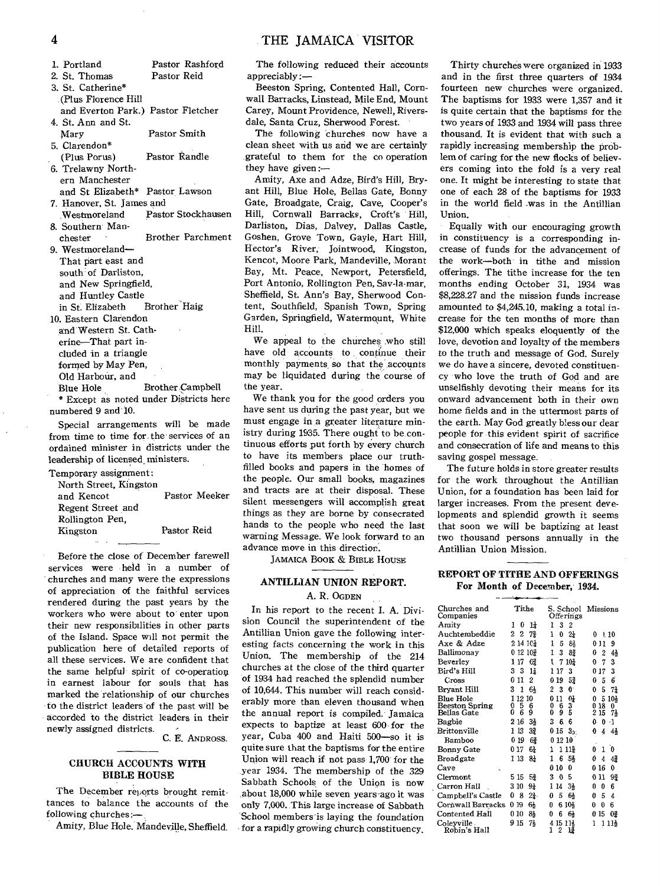4 THE JAMAICA VISITOR 1. Portland Pastor Rashford<br>
2. St. Thomas Pastor Reid 2. St. Thomas 3. St. Catherine\* (Plus Florence Hill and Everton Park.) Pastor Fletcher 4. St. Ann and St. Pastor Smith 5. Clarendon\* Pastor Randle 6. Trelawny Northern Manchester and St Elizabeth\* Pastor Lawson 7. Hanover, St. James and Westmoreland Pastor Stockhausen 8. Southern Man-Brother Parchment 9. Westmoreland— That part east and south of Darliston, and New Springfield, and Huntley Castle in St. Elizabeth Brother Haig 10. Eastern Clarendon and Western St. Catherine—That part included in a triangle formed by May Pen, Old Harbour, and Blue Hole Brother .Campbell \* Except as noted under Districts here numbered 9 and 10. Special arrangements will be made from time to time for the services of an ordained minister in districts under the leadership of licensed ministers.

Temporary assignment : North Street, Kingston and Kencot Pastor Meeker Regent Street and Rollington Pen, Kingston Pastor Reid

Before the close of December farewell services were held in a number of churches and many were the expressions of appreciation of the faithful services rendered during the past years by the workers who were about to enter upon their new responsibilities in other parts of the Island. Space will not permit the publication here of detailed reports of all these services. We are confident that the same helpful spirit of co-operation in earnest labour for souls that has marked the relationship of our churches to the district leaders of the past will be accorded to the district leaders in their newly assigned districts.

C. E. ANDROSS.

#### **CHURCH ACCOUNTS WITH BIBLE HOUSE**

The December reports brought remittances to balance the accounts of the following churches:-

- Amity, Blue Hole, Mandeville, Sheffield.

The following reduced their accounts appreciably:—

Beeston Spring, Contented Hall, Cornwall Barracks, Linstead, Mile End, Mount Carey, Mount Providence, Newell, Riversdale, Santa Cruz, Sherwood Forest.

The following Churches now have a clean sheet with us arid we are certainly grateful to them for the co operation they have given:—

Amity, Axe and Adze, Bird's Hill, Bryant Hill, Blue Hole, Bellas Gate, Bonny Gate, Broadgate, Craig, Cave, Cooper's Hill, Cornwall Barracks, Croft's Hill, Darliston, Dias, Dalvey, Dallas Castle, Goshen, Grove Town, Gayle, Hart Hill, Hector's River, Jointwood, Kingston, Kencot, Moore Park, Mandeville, Morant Bay, Mt. Peace, Newport, Petersfield, Port Antonio, Rollington Pen, Say-la-mar, Sheffield, St. Ann's Bay, Sherwood Content, Southfield, Spanish Town, Spring Garden, Springfield, Watermqunt, White Hill.

We appeal to the churches who still have old accounts to continue their monthly payments so that the accounts may be liquidated during the course of the year.

We thank you for the good orders you have sent us during the past year, but we must engage in a greater literature ministry during 1935. There ought to be continuous efforts put forth by every church to have its members place our truthfilled books and papers in the homes of the people. Our small books, magazines and tracts are at their disposal. These silent messengers will accomplish great things as they are borne by consecrated hands to the people who need the last warning Message. We look forward to an advance move in this direction.

JAMAICA BOOK & BIBLE HOUSE

#### **ANTILLIAN UNION REPORT.**

#### **A.** R. OGDEN

In his report to the recent I. A. Division Council the superintendent of the Antillian Union gave the following interesting facts concerning the work in this Union. The membership of the 214 churches at the close of the third quarter of 1934 had reached the splendid number of 10,644. This number will reach considerably more than eleven thousand when the annual report is compiled. Jamaica expects to baptize at least 600 for the year, Cuba 400 and Haiti 500—so it is quite sure that the baptisms for the entire Union will reach if not pass 1,700 for the year 1934. The membership of the 329 Sabbath Schools of the Union is now ,about 18,000 while seven years-ago it was only 7,000. This large increase of Sabbath 'School members is laying the foundation for a rapidly growing church constituency.

Thirty churches were organized in 1933 and in the first three quarters of 1934 fourteen new churches were organized. The baptisms for 1933 were 1,357 and it is quite certain that the baptisms for the two years of 1933 and 1934 will pass three thousand. It is evident that with such a rapidly increasing membership the problem of caring for the new flocks of believers coming into the fold is a very real one. It might be interesting to state that one of each 28 of the baptisms for 1933 in the world field -was in the Antillian Union.

Equally with our encouraging growth in constituency is a corresponding increase of funds for the advancement of the work—both in tithe and mission offerings. The tithe increase for the ten months ending October 31, 1934 was \$8,228.27 and the mission funds increase amounted to \$4,245.10, making a total increase for the ten months of more than \$12,000 which speaks eloquently of the love, devotion and loyalty of the members to the truth and message of God. Surely we do have a sincere, devoted constituency who love the truth of God and are unselfishly devoting their means for its onward advancement both in their own home fields and in the uttermost parts of the earth. May God greatly bless our dear people for this evident spirit of sacrifice and consecration of life and means to this saving gospel message.

The future holds in store greater results for the work throughout the Antillian Union, for a foundation has been laid for larger increases. From the present developments and splendid growth it seems that soon we will be baptizing at least two thousand persons annually in the Antillian Union Mission.

#### **REPORT OF TITHE AND OFFERINGS For Month of December, 1934.**

| Churches and<br>Companies   | Tithe                  | S. School -<br>Offerings    | Missions                  |
|-----------------------------|------------------------|-----------------------------|---------------------------|
| Amity                       | 1<br>14<br>0           | 3<br>1<br>$\overline{2}$    |                           |
| Auchtembeddie               | 2.<br>2<br>7÷          | ۱<br>$2\frac{1}{4}$<br>Û    | 110<br>Û                  |
| Axe & Adze                  | 2 14 104               | 1<br>5<br>83                | 0 11<br>9                 |
| Ballimonay                  | 0 12 10 <del>2</del>   | 3<br>1<br>8ž                | 2<br>44<br>0              |
| Beverley                    | 1 17<br>62             | 1<br>7<br>104               | 3<br>0<br>7               |
| Bird's Hill                 | 3<br>3<br>11           | 3<br>1 17                   | 3<br>0<br>17              |
| Cross                       | 2<br>n<br>-11          | 53<br>19<br>o               | 6<br>0<br>5               |
| Bryant Hill                 | 64<br>3<br>1           | 2<br>3<br>O.                | 5<br>71<br>î              |
| <b>Blue Hole</b>            | 12<br>10<br>1          | 01<br>0<br>11               | 5<br>10 <sub>5</sub><br>0 |
| Beeston Spring              | 5<br>0<br>6<br>6<br>0  | 0<br>3<br>6<br>0            | 0<br>18<br>Û              |
| Bellas Gate                 | 9                      | 9<br>5                      | 215<br>71                 |
| Bagbie                      | 16<br>33<br>2          | 3<br>6<br>6.                | Ō.<br>0<br>-1             |
| Brittonville                | 13<br>32<br>1          | 3 <sub>2</sub><br>0<br>15   | 0<br>4<br>$4\frac{1}{2}$  |
| Bamboo                      | 0 19<br>62             | 12 10<br>0                  |                           |
| Bonny Gate                  | 61<br>0 17             | 1 1 1 3<br>1                | Ò<br>0<br>1               |
| Broadgate                   | 81<br>1 13             | 1<br>53<br>6                | 47<br>Ô<br>4              |
| Cave                        |                        | 0<br>10<br>0                | -16<br>Ω<br>Û             |
| Clermont                    | 52<br>5 15             | 3<br>5<br>$^{\circ}$        | 11<br>92<br>0             |
| Carron Hall                 | 3 10<br>9 <sub>2</sub> | 33<br>1<br>14               | 6<br>O<br>n               |
| Campbell's Castle           | 21.<br>0<br>8          | 5<br>0<br>65                | 0<br>5<br>4               |
| Cornwall Barracks           | 61<br>19<br>Ð          | 6 10 1<br>0                 | 6<br>Û<br>O               |
| Contented Hall              | 83<br>010              | 0<br>61<br>6                | 15<br>02<br>0             |
| Coleyville.<br>Robin's Hall | 9 15<br>71             | 15 11 1<br>4<br>1<br>2<br>埕 | 1<br>1 1 1 2              |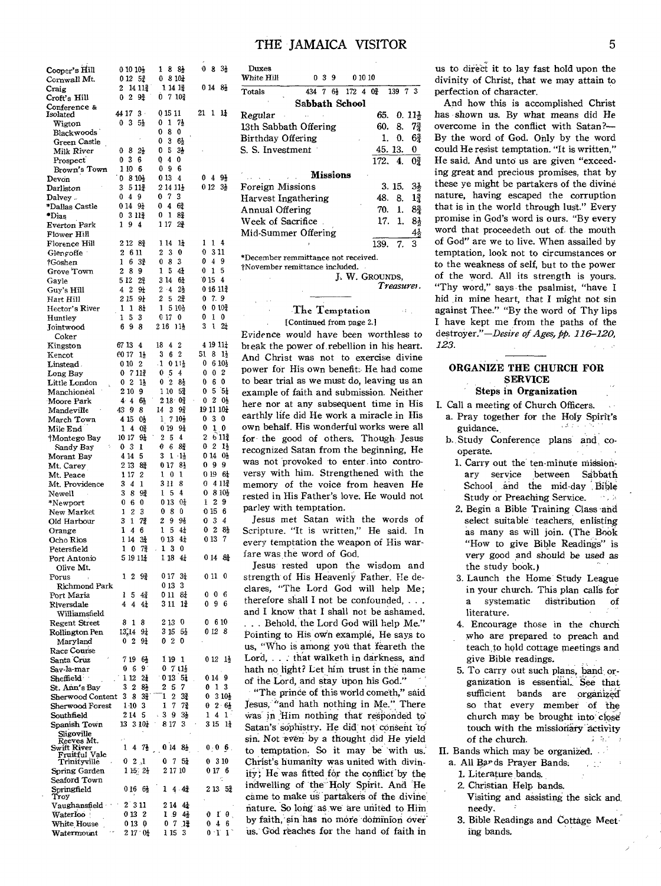#### THE JAMAICA VISITOR 5

| Cooper's Hill                 | 01010                    | 8<br>81<br>1                | -0<br>31<br>8            |
|-------------------------------|--------------------------|-----------------------------|--------------------------|
| Cornwall Mt.                  | 0 12<br>54               | 810 <sup>1</sup><br>0       |                          |
| Craig                         | 14 113<br>2              | 1 14 12                     | 0 14<br>83               |
| Croft's Hill                  | 2<br>0<br>92             | 7.10 <sup>3</sup><br>0      |                          |
| Conference &                  |                          |                             |                          |
| Isolated                      | 44 17<br>$3$ .           | 0 15 11                     | 21<br>1<br>ų             |
| Wigton                        | 0<br>3<br>51             | 0<br>1<br>71                |                          |
| Blackwoods                    |                          | 0<br>8<br>0                 |                          |
| Green Castle                  | ï                        | 3<br>0<br>6}                |                          |
| Milk River                    | 0<br>8<br>$2\frac{1}{2}$ | 31<br>0<br>5                |                          |
| Prospect                      | 3<br>0<br>6              | 0<br>4<br>0                 |                          |
|                               | 6<br>1<br>10             | 9<br>0<br>6                 |                          |
| Brown's Town                  |                          | 0 13<br>4                   | 95<br>0                  |
| Devon                         | 0<br>810                 |                             | 4                        |
| Darliston                     | 3<br>5 1 1 2             | 2 14 11}                    | 0 12<br>3)               |
| Dalvey                        | 9<br>0<br>4              | 3<br>0<br>7                 |                          |
| *Dallas Castle                | 014<br>94                | 4<br>62<br>0                |                          |
| *Dias                         | 3 113<br>0               | 0<br>1<br>82                |                          |
| Everton Park                  | 9<br>1<br>4              | 1 17<br>24                  |                          |
| Flower Hill                   |                          |                             |                          |
| Florence Hill                 | 212<br>81                | 1 14<br>ų                   | 1<br>1<br>4              |
| Glengoffe                     | 2<br>6 11                | 2<br>3<br>0                 | 0<br>3 11                |
| $\dagger$ Goshen              | 1<br>6<br>3ž             | 3<br>0<br>8                 | 9<br>0<br>4              |
|                               |                          | 41<br>1<br>5                | 0<br>5<br>ı              |
| Grove Town                    | 2<br>8<br>9              |                             |                          |
| Gayle                         | 5 12<br>22               | 3 14<br>64                  | 015<br>4                 |
| Guy's Hill                    | 4<br>2<br>91             | $2\frac{1}{2}$<br>2<br>$-4$ | 0 16 11}                 |
| Hart Hill                     | 215<br>9ł                | 2<br>5<br>27                | 79<br>0                  |
| Hector's River                | 1<br>1<br>81             | 1<br>$510_{2}$              | 0 102<br>0               |
| Huntley                       | 1<br>5<br>3              | 0 17<br>0                   | 1<br>0<br>0              |
| Jointwood                     | 6<br>9<br>8              | 216<br>11,                  | 3<br>ı<br>21             |
| Coker                         |                          |                             |                          |
|                               | 67 13<br>4               | $\overline{2}$<br>18<br>4   | 4 19 11}                 |
| Kingston                      | 60 17                    | 2<br>3<br>6                 | 51<br>8<br>12            |
| Kencot                        | 1}                       |                             |                          |
| Linstead .                    | 010<br>2                 | $\cdot$ 1<br>011            | 0<br>$610\frac{1}{2}$    |
| Long Bay                      | 7112<br>0                | 0<br>5<br>4                 | 2<br>0<br>0              |
| Little London<br>λ            | 0<br>2<br>11             | 0<br>2<br>8½                | 6<br>0<br>0              |
| Manchioneal                   | 2 10<br>9                | 110<br>52                   | 0<br>5<br>$5\frac{1}{4}$ |
| Moore Park                    | $4 -$<br>4<br>6,         | $218^\circ$<br>03           | 2<br>0<br>04             |
| Mandeville                    | 43<br>9<br>8             | 3<br>92<br>14               | 19 11 10}                |
| March Town                    | 4 15<br>02               | $710+$<br>ı                 | 0<br>3<br>0              |
| Mile End                      | 1<br>4<br>0ž             | 0 19<br>91                  | 0<br>$\mathbf{1}$<br>0   |
| †Montego Bay                  | 10 17<br>91              | 2<br>4<br>5                 | 2<br>$611\frac{3}{4}$    |
| ŕ,                            | 3<br>0<br>ı              | 0<br>6<br>82                | 0<br>2<br>Ħ              |
| Sandy Bay                     | 5                        | 3<br>1<br>$\cdot 1_2$       | 0 14<br>04               |
| Morant Bay                    | 414                      |                             |                          |
| Mt. Carey                     | 213<br>81                | 0 17<br>81                  | 0<br>9<br>9              |
| Mt. Peace                     | 1 17<br>$\overline{c}$   | 1<br>1<br>0                 | 0 19<br>64               |
| Mt. Providence                | 3<br>4<br>1              | 3 11<br>8                   | 0<br>4114                |
| Newell                        | 3<br>8<br>92             | 1<br>5<br>4                 | $810\frac{1}{2}$<br>0    |
| *Newport                      | 0<br>6<br>0              | 0 13<br>04                  | 2<br>9<br>1              |
| New Market                    | I<br>3<br>2              | 0<br>8<br>0                 | 0.15<br>6                |
| Old Harbour                   | 3<br>I<br>71             | 2<br>9<br>94                | 3<br>0<br>4              |
| Orange                        | 1<br>4<br>6              | 1<br>5<br>41                | 2<br>0<br>84             |
| Ocho Rios                     | 34<br>1 14               | 013<br>41                   | 013<br>7                 |
| Petersfield                   | 1<br>71<br>0             | 1<br>3<br>0                 |                          |
|                               | 5 19 11½                 | 1 18<br>44                  | 014<br>84                |
| Port Antonio                  |                          |                             |                          |
| Olive Mt.                     |                          |                             |                          |
| Porus                         | 1<br>2<br>92             | 0 17<br>3½                  | 0<br>0 11                |
| Richmond Park                 |                          | 3<br>0 13                   |                          |
| Port Maria                    | 41<br>ı<br>5             | 81<br>0 11                  | 0<br>6<br>0              |
| Riversdale                    | 4<br>4<br>41             | 311<br>12                   | 0<br>9<br>6              |
| Williamsfield                 |                          |                             |                          |
| Regent Street                 | 8<br>1<br>8              | 0<br>2 13                   | 6 10<br>o                |
| Rollington Pen                | 13,14<br>91              | 3 15<br>54                  | 012<br>8                 |
| Maryland                      | $0\,2$<br>91             | 2<br>0<br>0                 |                          |
| Race Course                   |                          |                             |                          |
| Santa Cruz                    | 7 19                     | 1 19<br>ı                   | 0 12<br>11               |
|                               | 6,<br>д.                 |                             |                          |
| Sav-la-mar                    | 0<br>-6                  | 0711}                       |                          |
| Sheffield                     | 1 12<br>24               | 0 13<br>51                  | 0 14<br>9                |
| St. Ann's Bay                 | 3<br>2<br>8}             | 2<br>5<br>7                 | 1<br>3<br>0              |
| Sherwood Content              | 3<br>8<br>3ž             | 31<br>1<br>2                | 3 10}<br>0               |
| Sherwood Forest               | 3<br>$1 - 10$            | 7<br>1<br>71                | 26<br>0                  |
| Southfield                    | 214<br>5                 | 3<br>9<br>3,                | 1<br>4<br>$1\,$          |
| Spanish Town                  | 13<br>310 <sub>t</sub>   | 8 17<br>3                   | 3 15<br>14               |
| Sligoville                    |                          |                             |                          |
| Reeves Mt.                    | y.                       |                             |                          |
| Swift River                   | 1<br>71<br>4             | 014<br>8}                   | $0\cdot 0$<br>Ю,         |
| Fruitful Vale<br>Trinityville | 2,1<br>0                 | 0<br>-7<br>54               | 310<br>0                 |
|                               | 115:2                    | 2 17 10                     | 0 17<br>6                |
| Spring Garden                 |                          |                             |                          |
| Seaford Town                  |                          |                             |                          |
| Springfield<br>Troy           | 016<br>62                | $4 - 42$<br>ı               | 213<br>52                |
| Vaughansfield                 | $2^{\degree}311$         | 2 14<br>41                  |                          |
|                               | 0 13<br>2                | 19<br>4 <sub>2</sub>        | ľ<br>θ                   |
| Waterloo                      |                          |                             | 0                        |
| <b>White House</b>            | 0 13<br>0                | 7<br>1종<br>0                | 4<br>0<br>6              |
| Watermount                    | $217 \t01$               | 3<br>1 15                   | 0 T<br>1                 |

| Duxes                               |                |                 |         |                           |          |                                      |
|-------------------------------------|----------------|-----------------|---------|---------------------------|----------|--------------------------------------|
| White Hill                          |                | 039             | 0 10 10 |                           |          |                                      |
| Totals                              |                |                 |         | 434 7 62 172 4 02 139 7 3 |          |                                      |
|                                     | Sabbath School |                 |         |                           |          |                                      |
| Regular                             |                |                 |         |                           |          | 65. $0.11\frac{1}{2}$                |
| 13th Sabbath Offering               |                |                 |         |                           |          | 60. 8. 7 <sup>3</sup> / <sub>2</sub> |
| Birthday Offering                   |                |                 |         |                           |          | 1. $0.6\frac{3}{5}$                  |
| S. S. Investment                    |                |                 |         |                           | 45.13. 0 |                                      |
|                                     |                |                 |         | $172.4.0\frac{3}{4}$      |          |                                      |
|                                     |                | <b>Missions</b> |         |                           |          |                                      |
| Foreign Missions                    |                |                 |         |                           |          | $3.15 \quad 3\frac{1}{2}$            |
| Harvest Ingathering                 |                |                 |         |                           |          | 48. 8. 1 <sup>3</sup> / <sub>1</sub> |
| Annual Offering                     |                |                 |         |                           | 70. 1.   | 8½                                   |
| Week of Sacrifice.                  |                |                 |         |                           | 17. 1.   | 8÷                                   |
| Mid-Summer Offering                 |                |                 |         |                           |          | $4\frac{1}{2}$                       |
|                                     |                |                 |         | 139. 7.                   |          | 3                                    |
| *December remmittance not received. |                |                 |         |                           |          |                                      |
| †November remittance included.      |                |                 |         |                           |          |                                      |
|                                     |                |                 |         | W C <sub>rotinne</sub>    |          |                                      |

J. W. GROUNDS, *Treasure;.* 

#### -The Temptation • [Continued from page 2.]

Evidence would have been worthless to break the power of .rebellion in his heart. And Christ was not to exercise divine power for His own benefit: He had come to bear trial as we must do, leaving us an example of faith and submission. Neither here nor at any subsequent time in His earthly life did He work a miracle in His own behalf. His wonderful works were all for- the good of others. Though- Jesus recognized Satan from the beginning, He was not provoked to enter into controversy with him. Strengthened with the memory of the voice from heaven He rested in His Father's love: He would not parley with temptation.

Jesus met Satan with the words *of*  Scripture. "It is written," He said. In every temptation the weapon of His warfare was the word of God.

Jesus' rested upon the wisdom and strength of His Heavenly Father. He declares, "The Lord God will help Me; therefore shall I not be confounded, . . . and I know that I shall not be ashamed. . . . Behold, the Lord God will help Me." Pointing to His ow'n example, He says to us, "Who is among you that feareth the Lord, . . : that walketh in darkness, and hath no light? Let him trust in the name of the Lord, and stay upon his God."

"The prince of this world cometh," said Jesus, "and hath nothing in Me." There was in Him nothing that responded to Satan's sophistry. He did not consent to sin. Not even by a thought did He yield to temptation. So it may be with us. Christ's humanity was united with divinity; He was fitted for the conflict by the indwelling of the Holy Spirit. And He came to make us partakers of the divine nature. So long-as we are united to Him by faith, sin has no more dominion over GOd reaches for the hand of faith in

us to direct it to lay fast hold upon the divinity of Christ, that we may attain to perfection of character.

And how this is accomplished Christ has shown us. By what means did He overcome in the conflict with Satan?— By the word of God. Only by the word could He resist temptation. "It is written," He said. And unto us are given "exceeding great and precious promises, that by these ye might be partakers of the divine nature, having escaped the corruption that is in the world through lust." Every promise in God's word is ours. "By every word that proceedeth out of the mouth of God" are we to live. When assailed by temptation, look not to circumstances or to the weakness of self, but to the power of the word. All its strength is yours. "Thy word," says the psalmist, "have I hid in mine heart, that **I** might not sin against Thee." "By the word of Thy lips I have kept me from the paths of the destroyer."—Desire *of Ages,* pp. *116-120, 123.* 

#### **ORGANIZE THE CHURCH FOR SERVICE**

#### **Steps in Organization**

- I. Call a meeting of Church Officers.
	- a. Pray together for the Holy Spirit's guidance.
	- b. Study Conference plans and, cooperate.
		- 1. Carry out the ten-minute missionary service between Sabbath School and the mid-day Bible Study or Preaching Service.
		- 2. Begin a Bible Training Class and select suitable teachers, enlisting as many as will join. (The Book "How to give Bible Readings" is very good and should be *used as*  the study book.)
		- 3. Launch the Home Study League in your church. This plan calls for a systematic distribution of literature.
		- 4. Encourage those in the church who are prepared to preach and teach to hold cottage meetings and give Bible readings.
		- 5. To carry out such plans, band organization is essential.. See that sufficient bands are organized' so that every member of the church may be brought into close touch with the missionary activity<br>of the church. of the church.
- **II.** Bands which may be organized.
	- a. All Bards Prayer Bands;
	- 1. Literature bands.
	- 2. Christian Help bands. Visiting and assisting the sick and needy.
	- 3. Bible Readings and Cottage Meeting bands.